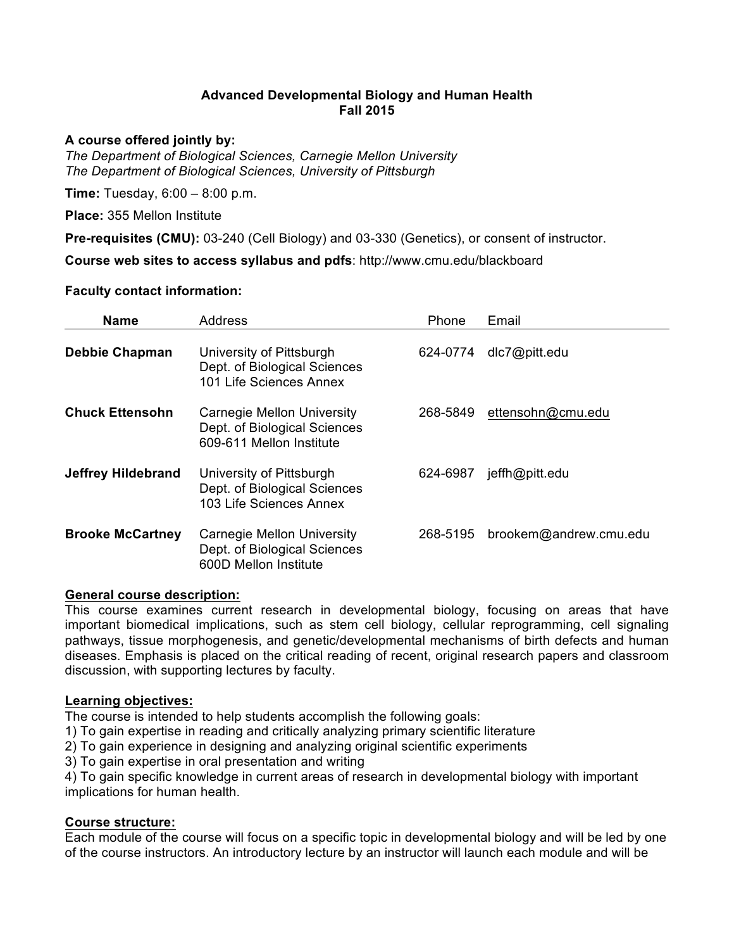## **Advanced Developmental Biology and Human Health Fall 2015**

#### **A course offered jointly by:**

*The Department of Biological Sciences, Carnegie Mellon University The Department of Biological Sciences, University of Pittsburgh*

**Time:** Tuesday, 6:00 – 8:00 p.m.

**Place:** 355 Mellon Institute

**Pre-requisites (CMU):** 03-240 (Cell Biology) and 03-330 (Genetics), or consent of instructor.

**Course web sites to access syllabus and pdfs**: http://www.cmu.edu/blackboard

### **Faculty contact information:**

| <b>Name</b>               | <b>Address</b>                                                                         | Phone    | Email                  |
|---------------------------|----------------------------------------------------------------------------------------|----------|------------------------|
| <b>Debbie Chapman</b>     | University of Pittsburgh<br>Dept. of Biological Sciences<br>101 Life Sciences Annex    | 624-0774 | dlc7@pitt.edu          |
| <b>Chuck Ettensohn</b>    | Carnegie Mellon University<br>Dept. of Biological Sciences<br>609-611 Mellon Institute | 268-5849 | ettensohn@cmu.edu      |
| <b>Jeffrey Hildebrand</b> | University of Pittsburgh<br>Dept. of Biological Sciences<br>103 Life Sciences Annex    | 624-6987 | jeffh@pitt.edu         |
| <b>Brooke McCartney</b>   | Carnegie Mellon University<br>Dept. of Biological Sciences<br>600D Mellon Institute    | 268-5195 | brookem@andrew.cmu.edu |

#### **General course description:**

This course examines current research in developmental biology, focusing on areas that have important biomedical implications, such as stem cell biology, cellular reprogramming, cell signaling pathways, tissue morphogenesis, and genetic/developmental mechanisms of birth defects and human diseases. Emphasis is placed on the critical reading of recent, original research papers and classroom discussion, with supporting lectures by faculty.

#### **Learning objectives:**

The course is intended to help students accomplish the following goals:

1) To gain expertise in reading and critically analyzing primary scientific literature

2) To gain experience in designing and analyzing original scientific experiments

3) To gain expertise in oral presentation and writing

4) To gain specific knowledge in current areas of research in developmental biology with important implications for human health.

### **Course structure:**

Each module of the course will focus on a specific topic in developmental biology and will be led by one of the course instructors. An introductory lecture by an instructor will launch each module and will be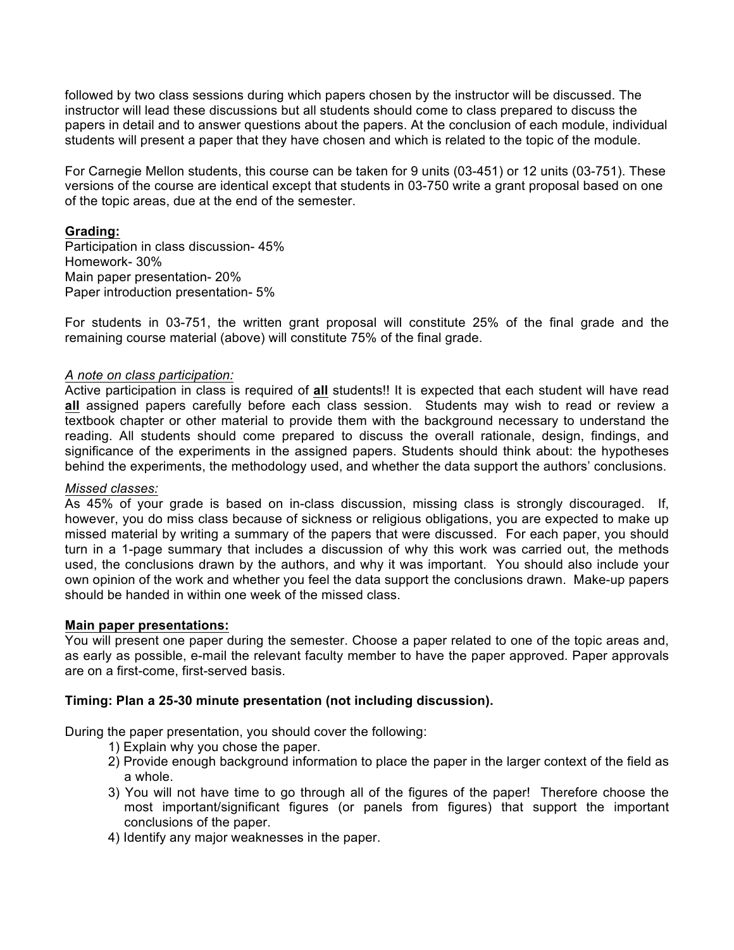followed by two class sessions during which papers chosen by the instructor will be discussed. The instructor will lead these discussions but all students should come to class prepared to discuss the papers in detail and to answer questions about the papers. At the conclusion of each module, individual students will present a paper that they have chosen and which is related to the topic of the module.

For Carnegie Mellon students, this course can be taken for 9 units (03-451) or 12 units (03-751). These versions of the course are identical except that students in 03-750 write a grant proposal based on one of the topic areas, due at the end of the semester.

### **Grading:**

Participation in class discussion- 45% Homework- 30% Main paper presentation- 20% Paper introduction presentation- 5%

For students in 03-751, the written grant proposal will constitute 25% of the final grade and the remaining course material (above) will constitute 75% of the final grade.

### *A note on class participation:*

Active participation in class is required of **all** students!! It is expected that each student will have read **all** assigned papers carefully before each class session. Students may wish to read or review a textbook chapter or other material to provide them with the background necessary to understand the reading. All students should come prepared to discuss the overall rationale, design, findings, and significance of the experiments in the assigned papers. Students should think about: the hypotheses behind the experiments, the methodology used, and whether the data support the authors' conclusions.

#### *Missed classes:*

As 45% of your grade is based on in-class discussion, missing class is strongly discouraged. If, however, you do miss class because of sickness or religious obligations, you are expected to make up missed material by writing a summary of the papers that were discussed. For each paper, you should turn in a 1-page summary that includes a discussion of why this work was carried out, the methods used, the conclusions drawn by the authors, and why it was important. You should also include your own opinion of the work and whether you feel the data support the conclusions drawn. Make-up papers should be handed in within one week of the missed class.

#### **Main paper presentations:**

You will present one paper during the semester. Choose a paper related to one of the topic areas and, as early as possible, e-mail the relevant faculty member to have the paper approved. Paper approvals are on a first-come, first-served basis.

#### **Timing: Plan a 25-30 minute presentation (not including discussion).**

During the paper presentation, you should cover the following:

- 1) Explain why you chose the paper.
- 2) Provide enough background information to place the paper in the larger context of the field as a whole.
- 3) You will not have time to go through all of the figures of the paper! Therefore choose the most important/significant figures (or panels from figures) that support the important conclusions of the paper.
- 4) Identify any major weaknesses in the paper.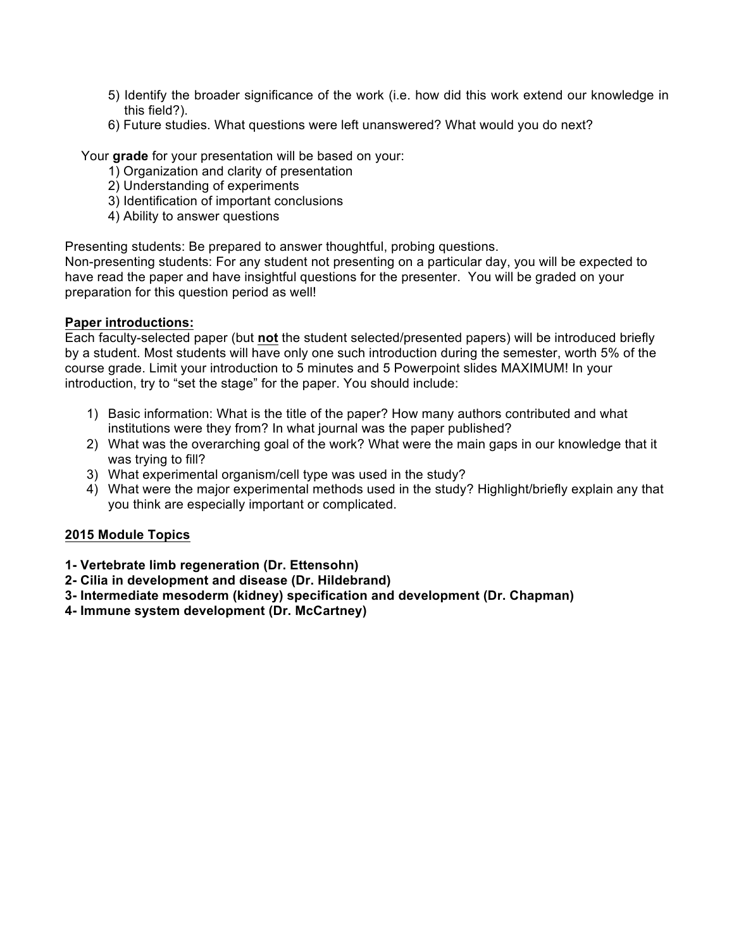- 5) Identify the broader significance of the work (i.e. how did this work extend our knowledge in this field?).
- 6) Future studies. What questions were left unanswered? What would you do next?

Your **grade** for your presentation will be based on your:

- 1) Organization and clarity of presentation
- 2) Understanding of experiments
- 3) Identification of important conclusions
- 4) Ability to answer questions

Presenting students: Be prepared to answer thoughtful, probing questions.

Non-presenting students: For any student not presenting on a particular day, you will be expected to have read the paper and have insightful questions for the presenter. You will be graded on your preparation for this question period as well!

### **Paper introductions:**

Each faculty-selected paper (but **not** the student selected/presented papers) will be introduced briefly by a student. Most students will have only one such introduction during the semester, worth 5% of the course grade. Limit your introduction to 5 minutes and 5 Powerpoint slides MAXIMUM! In your introduction, try to "set the stage" for the paper. You should include:

- 1) Basic information: What is the title of the paper? How many authors contributed and what institutions were they from? In what journal was the paper published?
- 2) What was the overarching goal of the work? What were the main gaps in our knowledge that it was trying to fill?
- 3) What experimental organism/cell type was used in the study?
- 4) What were the major experimental methods used in the study? Highlight/briefly explain any that you think are especially important or complicated.

### **2015 Module Topics**

- **1- Vertebrate limb regeneration (Dr. Ettensohn)**
- **2- Cilia in development and disease (Dr. Hildebrand)**
- **3- Intermediate mesoderm (kidney) specification and development (Dr. Chapman)**
- **4- Immune system development (Dr. McCartney)**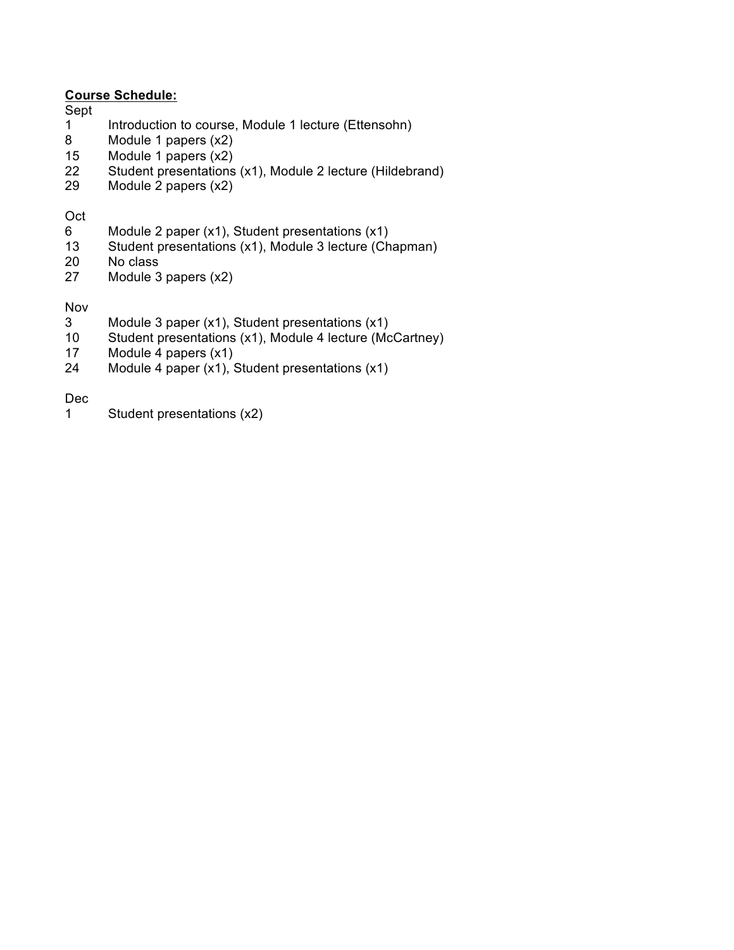## **Course Schedule:**

Sept

- 1 Introduction to course, Module 1 lecture (Ettensohn)
- 8 Module 1 papers (x2)
- 15 Module 1 papers (x2)
- 22 Student presentations (x1), Module 2 lecture (Hildebrand)
- 29 Module 2 papers (x2)

### Oct

- 6 Module 2 paper  $(x1)$ , Student presentations  $(x1)$ <br>13 Student presentations  $(x1)$ . Module 3 lecture *(Ch*
- Student presentations (x1), Module 3 lecture (Chapman)
- 20 No class
- 27 Module 3 papers (x2)

### Nov

- 3 Module 3 paper (x1), Student presentations (x1)<br>10 Student presentations (x1), Module 4 lecture (Mo
- Student presentations (x1), Module 4 lecture (McCartney)
- 17 Module 4 papers (x1)
- 24 Module 4 paper (x1), Student presentations (x1)

Dec

1 Student presentations (x2)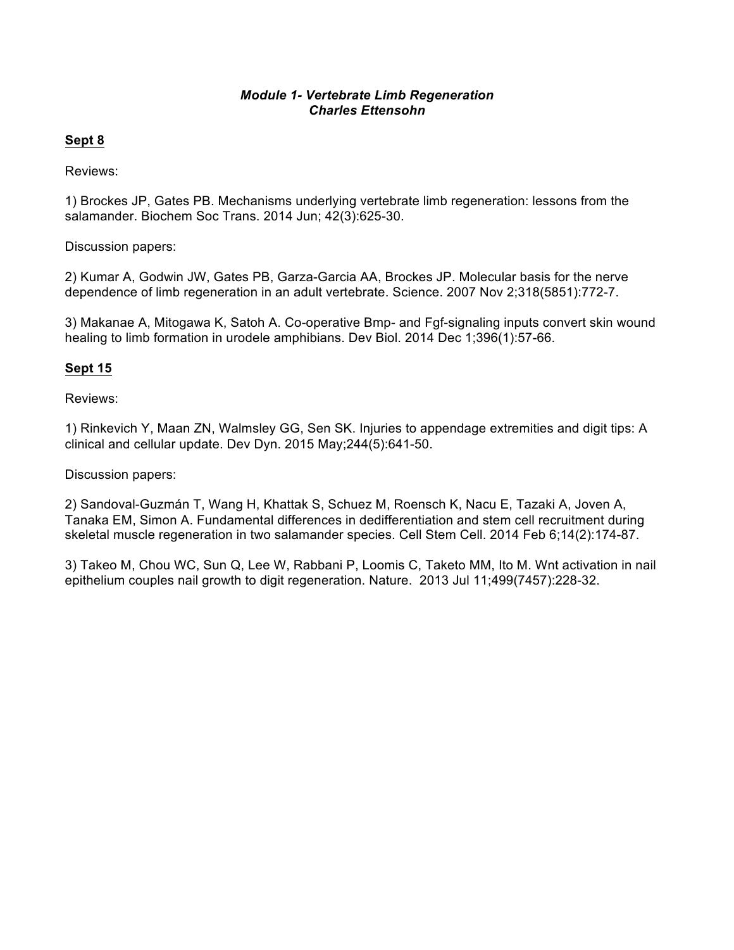### *Module 1- Vertebrate Limb Regeneration Charles Ettensohn*

## **Sept 8**

Reviews:

1) Brockes JP, Gates PB. Mechanisms underlying vertebrate limb regeneration: lessons from the salamander. Biochem Soc Trans. 2014 Jun; 42(3):625-30.

Discussion papers:

2) Kumar A, Godwin JW, Gates PB, Garza-Garcia AA, Brockes JP. Molecular basis for the nerve dependence of limb regeneration in an adult vertebrate. Science. 2007 Nov 2;318(5851):772-7.

3) Makanae A, Mitogawa K, Satoh A. Co-operative Bmp- and Fgf-signaling inputs convert skin wound healing to limb formation in urodele amphibians. Dev Biol. 2014 Dec 1;396(1):57-66.

## **Sept 15**

Reviews:

1) Rinkevich Y, Maan ZN, Walmsley GG, Sen SK. Injuries to appendage extremities and digit tips: A clinical and cellular update. Dev Dyn. 2015 May;244(5):641-50.

Discussion papers:

2) Sandoval-Guzmán T, Wang H, Khattak S, Schuez M, Roensch K, Nacu E, Tazaki A, Joven A, Tanaka EM, Simon A. Fundamental differences in dedifferentiation and stem cell recruitment during skeletal muscle regeneration in two salamander species. Cell Stem Cell. 2014 Feb 6;14(2):174-87.

3) Takeo M, Chou WC, Sun Q, Lee W, Rabbani P, Loomis C, Taketo MM, Ito M. Wnt activation in nail epithelium couples nail growth to digit regeneration. Nature. 2013 Jul 11;499(7457):228-32.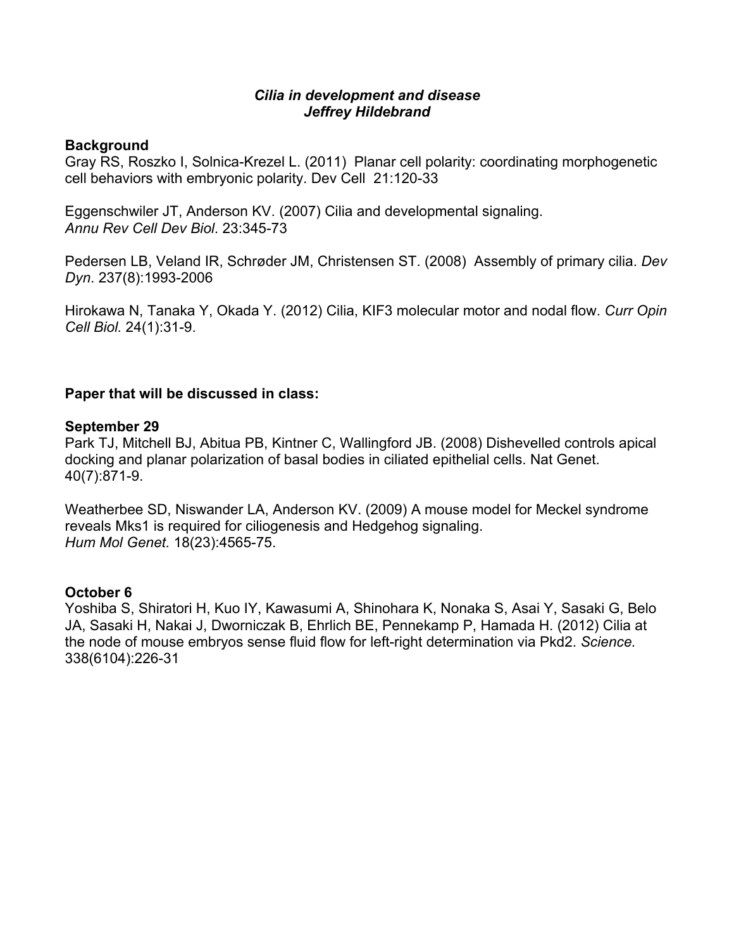## *Cilia in development and disease Jeffrey Hildebrand*

## **Background**

Gray RS, Roszko I, Solnica-Krezel L. (2011) Planar cell polarity: coordinating morphogenetic cell behaviors with embryonic polarity. Dev Cell 21:120-33

Eggenschwiler JT, Anderson KV. (2007) Cilia and developmental signaling. *Annu Rev Cell Dev Biol*. 23:345-73

Pedersen LB, Veland IR, Schrøder JM, Christensen ST. (2008) Assembly of primary cilia. *Dev Dyn*. 237(8):1993-2006

Hirokawa N, Tanaka Y, Okada Y. (2012) Cilia, KIF3 molecular motor and nodal flow. *Curr Opin Cell Biol.* 24(1):31-9.

## **Paper that will be discussed in class:**

## **September 29**

Park TJ, Mitchell BJ, Abitua PB, Kintner C, Wallingford JB. (2008) Dishevelled controls apical docking and planar polarization of basal bodies in ciliated epithelial cells. Nat Genet. 40(7):871-9.

Weatherbee SD, Niswander LA, Anderson KV. (2009) A mouse model for Meckel syndrome reveals Mks1 is required for ciliogenesis and Hedgehog signaling. *Hum Mol Genet.* 18(23):4565-75.

# **October 6**

Yoshiba S, Shiratori H, Kuo IY, Kawasumi A, Shinohara K, Nonaka S, Asai Y, Sasaki G, Belo JA, Sasaki H, Nakai J, Dworniczak B, Ehrlich BE, Pennekamp P, Hamada H. (2012) Cilia at the node of mouse embryos sense fluid flow for left-right determination via Pkd2. *Science.* 338(6104):226-31